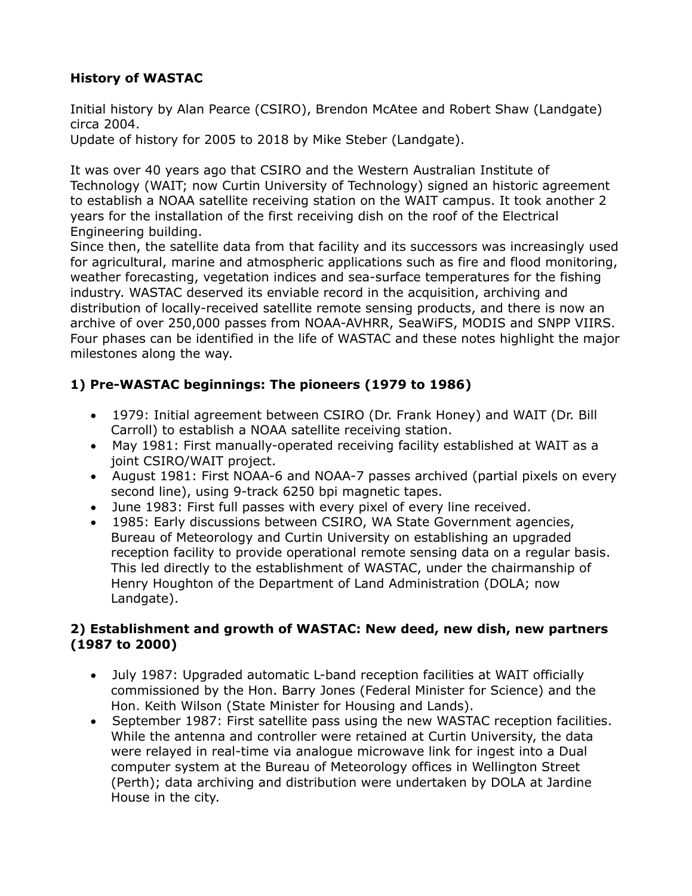### **History of WASTAC**

Initial history by Alan Pearce (CSIRO), Brendon McAtee and Robert Shaw (Landgate) circa 2004.

Update of history for 2005 to 2018 by Mike Steber (Landgate).

It was over 40 years ago that CSIRO and the Western Australian Institute of Technology (WAIT; now Curtin University of Technology) signed an historic agreement to establish a NOAA satellite receiving station on the WAIT campus. It took another 2 years for the installation of the first receiving dish on the roof of the Electrical Engineering building.

Since then, the satellite data from that facility and its successors was increasingly used for agricultural, marine and atmospheric applications such as fire and flood monitoring, weather forecasting, vegetation indices and sea-surface temperatures for the fishing industry. WASTAC deserved its enviable record in the acquisition, archiving and distribution of locally-received satellite remote sensing products, and there is now an archive of over 250,000 passes from NOAA-AVHRR, SeaWiFS, MODIS and SNPP VIIRS. Four phases can be identified in the life of WASTAC and these notes highlight the major milestones along the way.

# **1) Pre-WASTAC beginnings: The pioneers (1979 to 1986)**

- · 1979: Initial agreement between CSIRO (Dr. Frank Honey) and WAIT (Dr. Bill Carroll) to establish a NOAA satellite receiving station.
- · May 1981: First manually-operated receiving facility established at WAIT as a joint CSIRO/WAIT project.
- · August 1981: First NOAA-6 and NOAA-7 passes archived (partial pixels on every second line), using 9-track 6250 bpi magnetic tapes.
- · June 1983: First full passes with every pixel of every line received.
- 1985: Early discussions between CSIRO, WA State Government agencies, Bureau of Meteorology and Curtin University on establishing an upgraded reception facility to provide operational remote sensing data on a regular basis. This led directly to the establishment of WASTAC, under the chairmanship of Henry Houghton of the Department of Land Administration (DOLA; now Landgate).

#### **2) Establishment and growth of WASTAC: New deed, new dish, new partners (1987 to 2000)**

- · July 1987: Upgraded automatic L-band reception facilities at WAIT officially commissioned by the Hon. Barry Jones (Federal Minister for Science) and the Hon. Keith Wilson (State Minister for Housing and Lands).
- · September 1987: First satellite pass using the new WASTAC reception facilities. While the antenna and controller were retained at Curtin University, the data were relayed in real-time via analogue microwave link for ingest into a Dual computer system at the Bureau of Meteorology offices in Wellington Street (Perth); data archiving and distribution were undertaken by DOLA at Jardine House in the city.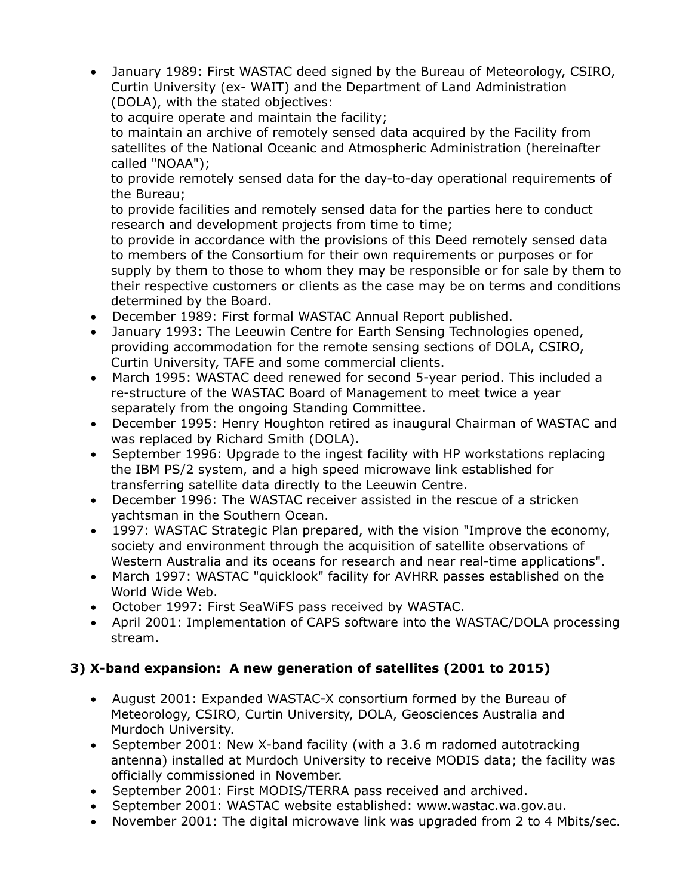· January 1989: First WASTAC deed signed by the Bureau of Meteorology, CSIRO, Curtin University (ex- WAIT) and the Department of Land Administration (DOLA), with the stated objectives:

to acquire operate and maintain the facility;

to maintain an archive of remotely sensed data acquired by the Facility from satellites of the National Oceanic and Atmospheric Administration (hereinafter called "NOAA");

to provide remotely sensed data for the day-to-day operational requirements of the Bureau;

to provide facilities and remotely sensed data for the parties here to conduct research and development projects from time to time;

to provide in accordance with the provisions of this Deed remotely sensed data to members of the Consortium for their own requirements or purposes or for supply by them to those to whom they may be responsible or for sale by them to their respective customers or clients as the case may be on terms and conditions determined by the Board.

- · December 1989: First formal WASTAC Annual Report published.
- · January 1993: The Leeuwin Centre for Earth Sensing Technologies opened, providing accommodation for the remote sensing sections of DOLA, CSIRO, Curtin University, TAFE and some commercial clients.
- · March 1995: WASTAC deed renewed for second 5-year period. This included a re-structure of the WASTAC Board of Management to meet twice a year separately from the ongoing Standing Committee.
- · December 1995: Henry Houghton retired as inaugural Chairman of WASTAC and was replaced by Richard Smith (DOLA).
- · September 1996: Upgrade to the ingest facility with HP workstations replacing the IBM PS/2 system, and a high speed microwave link established for transferring satellite data directly to the Leeuwin Centre.
- · December 1996: The WASTAC receiver assisted in the rescue of a stricken yachtsman in the Southern Ocean.
- · 1997: WASTAC Strategic Plan prepared, with the vision "Improve the economy, society and environment through the acquisition of satellite observations of Western Australia and its oceans for research and near real-time applications".
- · March 1997: WASTAC "quicklook" facility for AVHRR passes established on the World Wide Web.
- · October 1997: First SeaWiFS pass received by WASTAC.
- · April 2001: Implementation of CAPS software into the WASTAC/DOLA processing stream.

### **3) X-band expansion: A new generation of satellites (2001 to 2015)**

- · August 2001: Expanded WASTAC-X consortium formed by the Bureau of Meteorology, CSIRO, Curtin University, DOLA, Geosciences Australia and Murdoch University.
- · September 2001: New X-band facility (with a 3.6 m radomed autotracking antenna) installed at Murdoch University to receive MODIS data; the facility was officially commissioned in November.
- · September 2001: First MODIS/TERRA pass received and archived.
- · September 2001: WASTAC website established: www.wastac.wa.gov.au.
- · November 2001: The digital microwave link was upgraded from 2 to 4 Mbits/sec.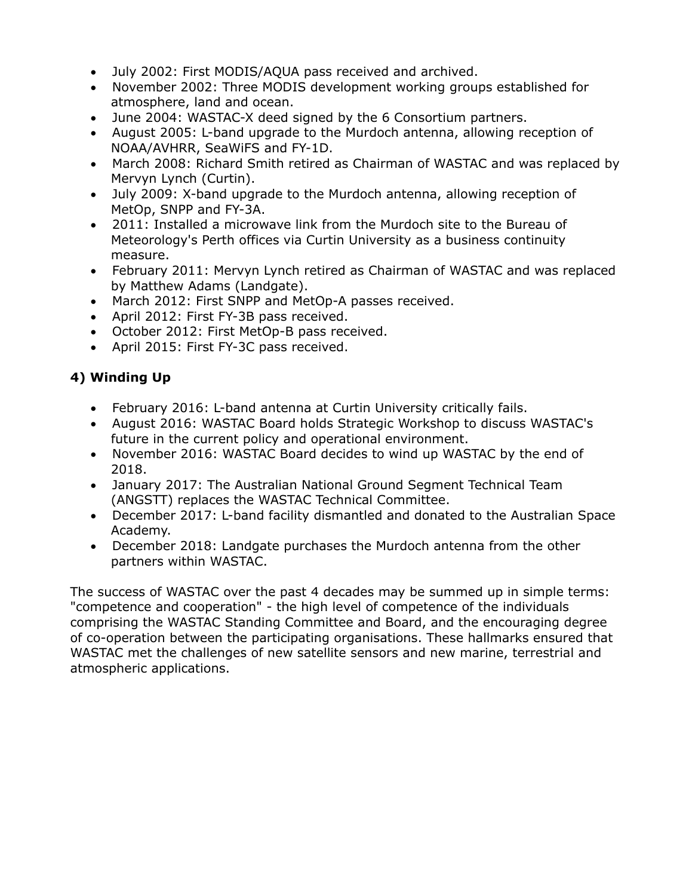- · July 2002: First MODIS/AQUA pass received and archived.
- · November 2002: Three MODIS development working groups established for atmosphere, land and ocean.
- · June 2004: WASTAC-X deed signed by the 6 Consortium partners.
- · August 2005: L-band upgrade to the Murdoch antenna, allowing reception of NOAA/AVHRR, SeaWiFS and FY-1D.
- · March 2008: Richard Smith retired as Chairman of WASTAC and was replaced by Mervyn Lynch (Curtin).
- · July 2009: X-band upgrade to the Murdoch antenna, allowing reception of MetOp, SNPP and FY-3A.
- · 2011: Installed a microwave link from the Murdoch site to the Bureau of Meteorology's Perth offices via Curtin University as a business continuity measure.
- · February 2011: Mervyn Lynch retired as Chairman of WASTAC and was replaced by Matthew Adams (Landgate).
- · March 2012: First SNPP and MetOp-A passes received.
- · April 2012: First FY-3B pass received.
- · October 2012: First MetOp-B pass received.
- · April 2015: First FY-3C pass received.

# **4) Winding Up**

- · February 2016: L-band antenna at Curtin University critically fails.
- · August 2016: WASTAC Board holds Strategic Workshop to discuss WASTAC's future in the current policy and operational environment.
- · November 2016: WASTAC Board decides to wind up WASTAC by the end of 2018.
- · January 2017: The Australian National Ground Segment Technical Team (ANGSTT) replaces the WASTAC Technical Committee.
- · December 2017: L-band facility dismantled and donated to the Australian Space Academy.
- · December 2018: Landgate purchases the Murdoch antenna from the other partners within WASTAC.

The success of WASTAC over the past 4 decades may be summed up in simple terms: "competence and cooperation" - the high level of competence of the individuals comprising the WASTAC Standing Committee and Board, and the encouraging degree of co-operation between the participating organisations. These hallmarks ensured that WASTAC met the challenges of new satellite sensors and new marine, terrestrial and atmospheric applications.